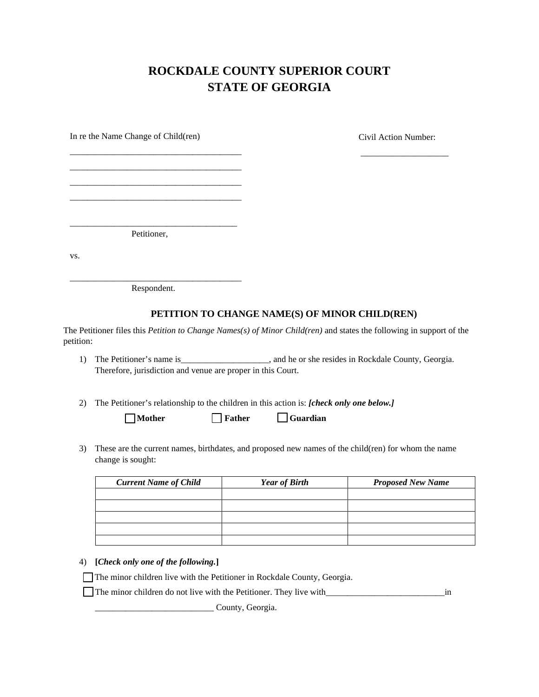## **ROCKDALE COUNTY SUPERIOR COURT STATE OF GEORGIA**

\_\_\_\_\_\_\_\_\_\_\_\_\_\_\_\_\_\_\_\_

In re the Name Change of Child(ren) Civil Action Number:

\_\_\_\_\_\_\_\_\_\_\_\_\_\_\_\_\_\_\_\_\_\_\_\_\_\_\_\_\_\_\_\_\_\_\_\_\_\_ Petitioner,

\_\_\_\_\_\_\_\_\_\_\_\_\_\_\_\_\_\_\_\_\_\_\_\_\_\_\_\_\_\_\_\_\_\_\_\_\_\_\_ \_\_\_\_\_\_\_\_\_\_\_\_\_\_\_\_\_\_\_\_\_\_\_\_\_\_\_\_\_\_\_\_\_\_\_\_\_\_\_ \_\_\_\_\_\_\_\_\_\_\_\_\_\_\_\_\_\_\_\_\_\_\_\_\_\_\_\_\_\_\_\_\_\_\_\_\_\_\_ \_\_\_\_\_\_\_\_\_\_\_\_\_\_\_\_\_\_\_\_\_\_\_\_\_\_\_\_\_\_\_\_\_\_\_\_\_\_\_

vs.

\_\_\_\_\_\_\_\_\_\_\_\_\_\_\_\_\_\_\_\_\_\_\_\_\_\_\_\_\_\_\_\_\_\_\_\_\_\_\_ Respondent.

## **PETITION TO CHANGE NAME(S) OF MINOR CHILD(REN)**

The Petitioner files this *Petition to Change Names(s) of Minor Child(ren)* and states the following in support of the petition:

- 1) The Petitioner's name is\_\_\_\_\_\_\_\_\_\_\_\_\_\_\_\_\_\_, and he or she resides in Rockdale County, Georgia. Therefore, jurisdiction and venue are proper in this Court.
- 2) The Petitioner's relationship to the children in this action is: *[check only one below.]*

| $\Box$ Mother | $\Box$ Father | Guardian |
|---------------|---------------|----------|
|               |               |          |

3) These are the current names, birthdates, and proposed new names of the child(ren) for whom the name change is sought:

| <b>Current Name of Child</b> | <b>Year of Birth</b> | <b>Proposed New Name</b> |
|------------------------------|----------------------|--------------------------|
|                              |                      |                          |
|                              |                      |                          |
|                              |                      |                          |
|                              |                      |                          |
|                              |                      |                          |

## 4) **[***Check only one of the following.***]**

The minor children live with the Petitioner in Rockdale County, Georgia.

The minor children do not live with the Petitioner. They live with\_\_\_\_\_\_\_\_\_\_\_\_\_\_\_\_\_\_\_\_\_\_\_\_\_\_\_in

County, Georgia.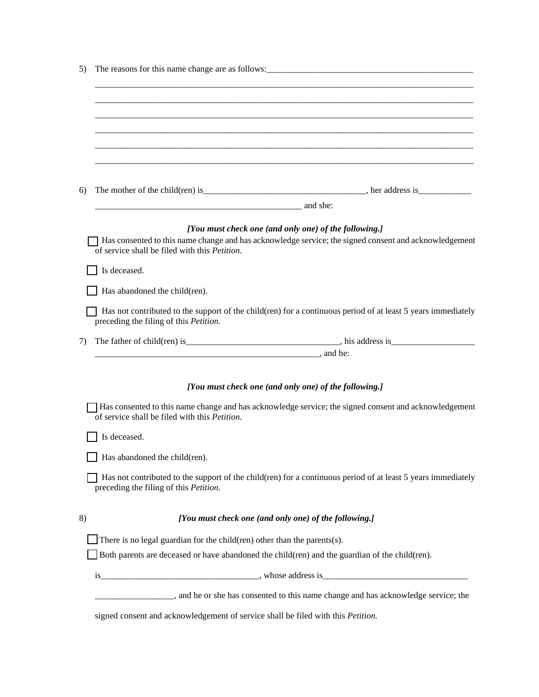| 6)           |                                                                                                                       |                                                                                                              |
|--------------|-----------------------------------------------------------------------------------------------------------------------|--------------------------------------------------------------------------------------------------------------|
|              | <u>2003 metro and sheet</u> and sheet and sheet and sheet and sheet and sheet and sheet and sheet and sheet and sheet |                                                                                                              |
|              |                                                                                                                       | [You must check one (and only one) of the following.]                                                        |
|              | of service shall be filed with this <i>Petition</i> .                                                                 | Has consented to this name change and has acknowledge service; the signed consent and acknowledgement        |
| Is deceased. |                                                                                                                       |                                                                                                              |
|              | Has abandoned the child(ren).                                                                                         |                                                                                                              |
|              | preceding the filing of this <i>Petition</i> .                                                                        | Has not contributed to the support of the child(ren) for a continuous period of at least 5 years immediately |
| 7)           |                                                                                                                       |                                                                                                              |
|              | <u>2000 - Andrea Branden, and het also been also been also been also been also been also been also been also been</u> |                                                                                                              |
|              |                                                                                                                       | [You must check one (and only one) of the following.]                                                        |
|              | of service shall be filed with this <i>Petition</i> .                                                                 | Has consented to this name change and has acknowledge service; the signed consent and acknowledgement        |
| Is deceased. |                                                                                                                       |                                                                                                              |
|              | Has abandoned the child (ren).                                                                                        |                                                                                                              |
|              | preceding the filing of this <i>Petition</i> .                                                                        | Has not contributed to the support of the child(ren) for a continuous period of at least 5 years immediately |
| 8)           |                                                                                                                       | [You must check one (and only one) of the following.]                                                        |
|              | There is no legal guardian for the child $(ren)$ other than the parents $(s)$ .                                       |                                                                                                              |
|              |                                                                                                                       | Both parents are deceased or have abandoned the child(ren) and the guardian of the child(ren).               |
|              |                                                                                                                       |                                                                                                              |
|              |                                                                                                                       |                                                                                                              |